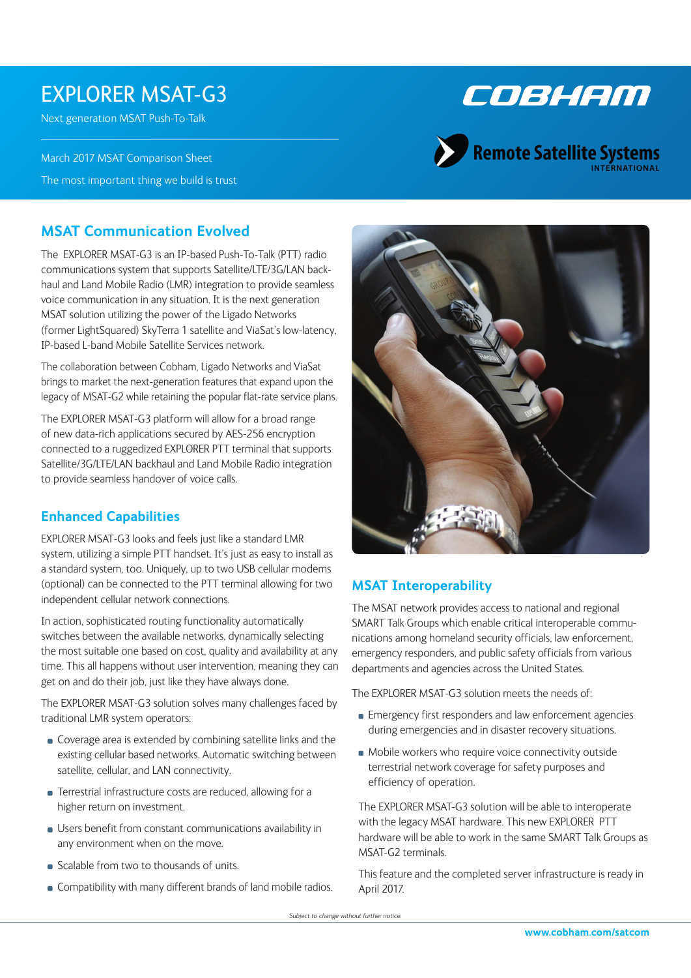# EXPLORER MSAT-G3

Next generation MSAT Push-To-Talk

March 2017 MSAT Comparison Sheet The most important thing we build is trust



# Remote Satellite Systems

## **MSAT Communication Evolved**

The EXPLORER MSAT-G3 is an IP-based Push-To-Talk (PTT) radio communications system that supports Satellite/LTE/3G/LAN backhaul and Land Mobile Radio (LMR) integration to provide seamless voice communication in any situation. It is the next generation MSAT solution utilizing the power of the Ligado Networks (former LightSquared) SkyTerra 1 satellite and ViaSat's low-latency, IP-based L-band Mobile Satellite Services network.

The collaboration between Cobham, Ligado Networks and ViaSat brings to market the next-generation features that expand upon the legacy of MSAT-G2 while retaining the popular flat-rate service plans.

The EXPLORER MSAT-G3 platform will allow for a broad range of new data-rich applications secured by AES-256 encryption connected to a ruggedized EXPLORER PTT terminal that supports Satellite/3G/LTE/LAN backhaul and Land Mobile Radio integration to provide seamless handover of voice calls.

## **Enhanced Capabilities**

EXPLORER MSAT-G3 looks and feels just like a standard LMR system, utilizing a simple PTT handset. It's just as easy to install as a standard system, too. Uniquely, up to two USB cellular modems (optional) can be connected to the PTT terminal allowing for two independent cellular network connections.

In action, sophisticated routing functionality automatically switches between the available networks, dynamically selecting the most suitable one based on cost, quality and availability at any time. This all happens without user intervention, meaning they can get on and do their job, just like they have always done.

The EXPLORER MSAT-G3 solution solves many challenges faced by traditional LMR system operators:

- Coverage area is extended by combining satellite links and the existing cellular based networks. Automatic switching between satellite, cellular, and LAN connectivity.
- **EXECUTE:** Terrestrial infrastructure costs are reduced, allowing for a higher return on investment.
- Users benefit from constant communications availability in any environment when on the move.
- Scalable from two to thousands of units.
- **Compatibility with many different brands of land mobile radios.**



# **MSAT Interoperability**

The MSAT network provides access to national and regional SMART Talk Groups which enable critical interoperable communications among homeland security officials, law enforcement, emergency responders, and public safety officials from various departments and agencies across the United States.

The EXPLORER MSAT-G3 solution meets the needs of:

- **Emergency first responders and law enforcement agencies** during emergencies and in disaster recovery situations.
- $\blacksquare$  Mobile workers who require voice connectivity outside terrestrial network coverage for safety purposes and efficiency of operation.

The EXPLORER MSAT-G3 solution will be able to interoperate with the legacy MSAT hardware. This new EXPLORER PTT hardware will be able to work in the same SMART Talk Groups as MSAT-G2 terminals.

This feature and the completed server infrastructure is ready in April 2017.